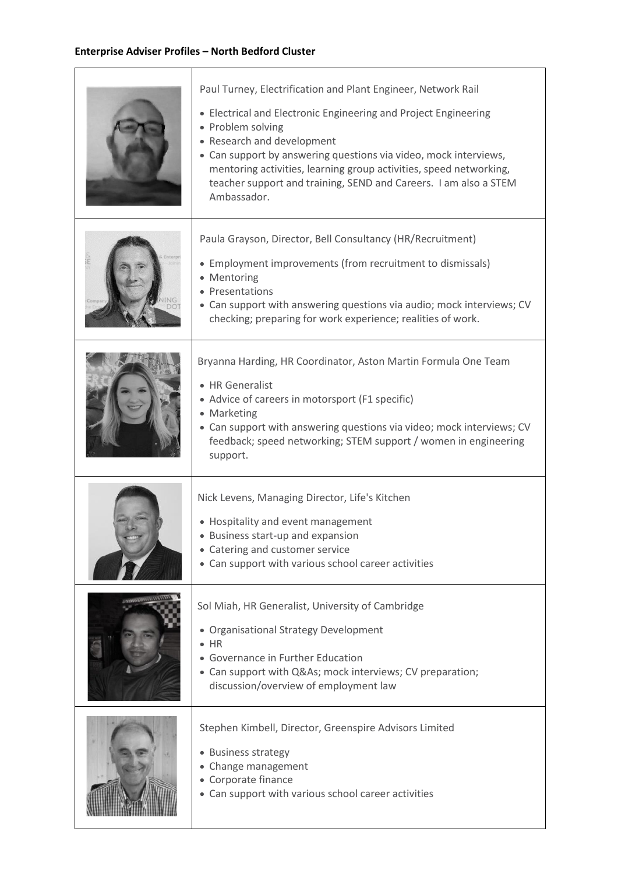| Paul Turney, Electrification and Plant Engineer, Network Rail<br>• Electrical and Electronic Engineering and Project Engineering<br>• Problem solving<br>• Research and development<br>• Can support by answering questions via video, mock interviews,<br>mentoring activities, learning group activities, speed networking,<br>teacher support and training, SEND and Careers. I am also a STEM<br>Ambassador. |
|------------------------------------------------------------------------------------------------------------------------------------------------------------------------------------------------------------------------------------------------------------------------------------------------------------------------------------------------------------------------------------------------------------------|
| Paula Grayson, Director, Bell Consultancy (HR/Recruitment)<br>• Employment improvements (from recruitment to dismissals)<br>• Mentoring<br>• Presentations<br>• Can support with answering questions via audio; mock interviews; CV<br>checking; preparing for work experience; realities of work.                                                                                                               |
| Bryanna Harding, HR Coordinator, Aston Martin Formula One Team<br>• HR Generalist<br>• Advice of careers in motorsport (F1 specific)<br>• Marketing<br>• Can support with answering questions via video; mock interviews; CV<br>feedback; speed networking; STEM support / women in engineering<br>support.                                                                                                      |
| Nick Levens, Managing Director, Life's Kitchen<br>• Hospitality and event management<br>• Business start-up and expansion<br>• Catering and customer service<br>• Can support with various school career activities                                                                                                                                                                                              |
| Sol Miah, HR Generalist, University of Cambridge<br>· Organisational Strategy Development<br>$\bullet$ HR<br>• Governance in Further Education<br>• Can support with Q&As mock interviews; CV preparation;<br>discussion/overview of employment law                                                                                                                                                              |
| Stephen Kimbell, Director, Greenspire Advisors Limited<br>• Business strategy<br>• Change management<br>• Corporate finance<br>• Can support with various school career activities                                                                                                                                                                                                                               |